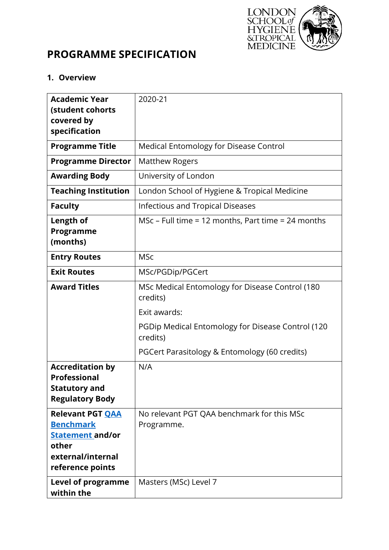

# **PROGRAMME SPECIFICATION**

## **1. Overview**

| <b>Academic Year</b><br>(student cohorts                                                                                 | 2020-21                                                       |  |  |  |
|--------------------------------------------------------------------------------------------------------------------------|---------------------------------------------------------------|--|--|--|
| covered by<br>specification                                                                                              |                                                               |  |  |  |
| <b>Programme Title</b>                                                                                                   | <b>Medical Entomology for Disease Control</b>                 |  |  |  |
| <b>Programme Director</b>                                                                                                | <b>Matthew Rogers</b>                                         |  |  |  |
| <b>Awarding Body</b>                                                                                                     | University of London                                          |  |  |  |
| <b>Teaching Institution</b>                                                                                              | London School of Hygiene & Tropical Medicine                  |  |  |  |
| <b>Faculty</b>                                                                                                           | <b>Infectious and Tropical Diseases</b>                       |  |  |  |
| Length of<br>Programme<br>(months)                                                                                       | MSc – Full time = 12 months, Part time = 24 months            |  |  |  |
| <b>Entry Routes</b>                                                                                                      | <b>MSc</b>                                                    |  |  |  |
| <b>Exit Routes</b>                                                                                                       | MSc/PGDip/PGCert                                              |  |  |  |
| <b>Award Titles</b>                                                                                                      | MSc Medical Entomology for Disease Control (180<br>credits)   |  |  |  |
|                                                                                                                          | Exit awards:                                                  |  |  |  |
|                                                                                                                          | PGDip Medical Entomology for Disease Control (120<br>credits) |  |  |  |
|                                                                                                                          | PGCert Parasitology & Entomology (60 credits)                 |  |  |  |
| <b>Accreditation by</b><br><b>Professional</b><br><b>Statutory and</b><br><b>Regulatory Body</b>                         | N/A                                                           |  |  |  |
| <b>Relevant PGT QAA</b><br><b>Benchmark</b><br><b>Statement and/or</b><br>other<br>external/internal<br>reference points | No relevant PGT QAA benchmark for this MSc<br>Programme.      |  |  |  |
| <b>Level of programme</b><br>within the                                                                                  | Masters (MSc) Level 7                                         |  |  |  |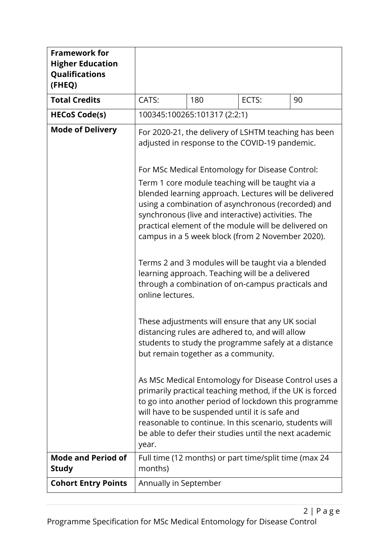| <b>Framework for</b><br><b>Higher Education</b><br>Qualifications<br>(FHEQ) |                                                                                                                                                                                                                                                                                                                                                                                                                                                                                                                     |                                                                                                                                                                                                                                                                                                                                                 |       |    |  |
|-----------------------------------------------------------------------------|---------------------------------------------------------------------------------------------------------------------------------------------------------------------------------------------------------------------------------------------------------------------------------------------------------------------------------------------------------------------------------------------------------------------------------------------------------------------------------------------------------------------|-------------------------------------------------------------------------------------------------------------------------------------------------------------------------------------------------------------------------------------------------------------------------------------------------------------------------------------------------|-------|----|--|
| <b>Total Credits</b>                                                        | CATS:                                                                                                                                                                                                                                                                                                                                                                                                                                                                                                               | 180                                                                                                                                                                                                                                                                                                                                             | ECTS: | 90 |  |
| <b>HECoS Code(s)</b>                                                        |                                                                                                                                                                                                                                                                                                                                                                                                                                                                                                                     | 100345:100265:101317 (2:2:1)                                                                                                                                                                                                                                                                                                                    |       |    |  |
| <b>Mode of Delivery</b>                                                     | For 2020-21, the delivery of LSHTM teaching has been<br>adjusted in response to the COVID-19 pandemic.                                                                                                                                                                                                                                                                                                                                                                                                              |                                                                                                                                                                                                                                                                                                                                                 |       |    |  |
|                                                                             |                                                                                                                                                                                                                                                                                                                                                                                                                                                                                                                     | For MSc Medical Entomology for Disease Control:                                                                                                                                                                                                                                                                                                 |       |    |  |
|                                                                             | Term 1 core module teaching will be taught via a<br>blended learning approach. Lectures will be delivered<br>using a combination of asynchronous (recorded) and<br>synchronous (live and interactive) activities. The<br>practical element of the module will be delivered on<br>campus in a 5 week block (from 2 November 2020).<br>Terms 2 and 3 modules will be taught via a blended<br>learning approach. Teaching will be a delivered<br>through a combination of on-campus practicals and<br>online lectures. |                                                                                                                                                                                                                                                                                                                                                 |       |    |  |
|                                                                             | These adjustments will ensure that any UK social<br>distancing rules are adhered to, and will allow<br>students to study the programme safely at a distance<br>but remain together as a community.                                                                                                                                                                                                                                                                                                                  |                                                                                                                                                                                                                                                                                                                                                 |       |    |  |
|                                                                             | year.                                                                                                                                                                                                                                                                                                                                                                                                                                                                                                               | As MSc Medical Entomology for Disease Control uses a<br>primarily practical teaching method, if the UK is forced<br>to go into another period of lockdown this programme<br>will have to be suspended until it is safe and<br>reasonable to continue. In this scenario, students will<br>be able to defer their studies until the next academic |       |    |  |
| <b>Mode and Period of</b><br><b>Study</b>                                   | Full time (12 months) or part time/split time (max 24<br>months)                                                                                                                                                                                                                                                                                                                                                                                                                                                    |                                                                                                                                                                                                                                                                                                                                                 |       |    |  |
| <b>Cohort Entry Points</b>                                                  | Annually in September                                                                                                                                                                                                                                                                                                                                                                                                                                                                                               |                                                                                                                                                                                                                                                                                                                                                 |       |    |  |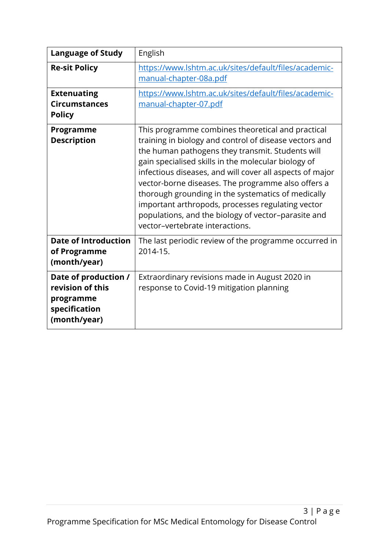| <b>Language of Study</b>                                                               | English                                                                                                                                                                                                                                                                                                                                                                                                                                                                                                                                       |
|----------------------------------------------------------------------------------------|-----------------------------------------------------------------------------------------------------------------------------------------------------------------------------------------------------------------------------------------------------------------------------------------------------------------------------------------------------------------------------------------------------------------------------------------------------------------------------------------------------------------------------------------------|
| <b>Re-sit Policy</b>                                                                   | https://www.lshtm.ac.uk/sites/default/files/academic-<br>manual-chapter-08a.pdf                                                                                                                                                                                                                                                                                                                                                                                                                                                               |
| <b>Extenuating</b><br><b>Circumstances</b><br><b>Policy</b>                            | https://www.lshtm.ac.uk/sites/default/files/academic-<br>manual-chapter-07.pdf                                                                                                                                                                                                                                                                                                                                                                                                                                                                |
| Programme<br><b>Description</b>                                                        | This programme combines theoretical and practical<br>training in biology and control of disease vectors and<br>the human pathogens they transmit. Students will<br>gain specialised skills in the molecular biology of<br>infectious diseases, and will cover all aspects of major<br>vector-borne diseases. The programme also offers a<br>thorough grounding in the systematics of medically<br>important arthropods, processes regulating vector<br>populations, and the biology of vector-parasite and<br>vector-vertebrate interactions. |
| <b>Date of Introduction</b><br>of Programme<br>(month/year)                            | The last periodic review of the programme occurred in<br>2014-15.                                                                                                                                                                                                                                                                                                                                                                                                                                                                             |
| Date of production /<br>revision of this<br>programme<br>specification<br>(month/year) | Extraordinary revisions made in August 2020 in<br>response to Covid-19 mitigation planning                                                                                                                                                                                                                                                                                                                                                                                                                                                    |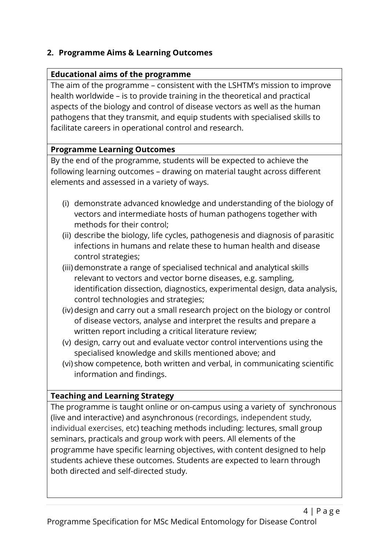# **2. Programme Aims & Learning Outcomes**

# **Educational aims of the programme**

The aim of the programme – consistent with the LSHTM's mission to improve health worldwide – is to provide training in the theoretical and practical aspects of the biology and control of disease vectors as well as the human pathogens that they transmit, and equip students with specialised skills to facilitate careers in operational control and research.

# **Programme Learning Outcomes**

By the end of the programme, students will be expected to achieve the following learning outcomes – drawing on material taught across different elements and assessed in a variety of ways.

- (i) demonstrate advanced knowledge and understanding of the biology of vectors and intermediate hosts of human pathogens together with methods for their control;
- (ii) describe the biology, life cycles, pathogenesis and diagnosis of parasitic infections in humans and relate these to human health and disease control strategies;
- (iii)demonstrate a range of specialised technical and analytical skills relevant to vectors and vector borne diseases, e.g. sampling, identification dissection, diagnostics, experimental design, data analysis, control technologies and strategies;
- (iv) design and carry out a small research project on the biology or control of disease vectors, analyse and interpret the results and prepare a written report including a critical literature review;
- (v) design, carry out and evaluate vector control interventions using the specialised knowledge and skills mentioned above; and
- (vi) show competence, both written and verbal, in communicating scientific information and findings.

# **Teaching and Learning Strategy**

The programme is taught online or on-campus using a variety of synchronous (live and interactive) and asynchronous (recordings, independent study, individual exercises, etc) teaching methods including: lectures, small group seminars, practicals and group work with peers. All elements of the programme have specific learning objectives, with content designed to help students achieve these outcomes. Students are expected to learn through both directed and self-directed study.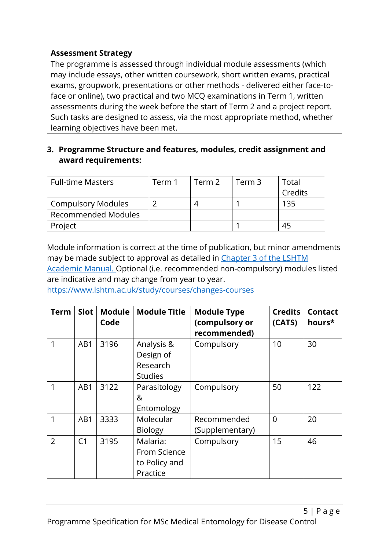## **Assessment Strategy**

The programme is assessed through individual module assessments (which may include essays, other written coursework, short written exams, practical exams, groupwork, presentations or other methods - delivered either face-toface or online), two practical and two MCQ examinations in Term 1, written assessments during the week before the start of Term 2 and a project report. Such tasks are designed to assess, via the most appropriate method, whether learning objectives have been met.

## **3. Programme Structure and features, modules, credit assignment and award requirements:**

| <b>Full-time Masters</b>   | Term 1 | Term 2 | Term 3 | Total   |
|----------------------------|--------|--------|--------|---------|
|                            |        |        |        | Credits |
| Compulsory Modules         |        |        |        | 135     |
| <b>Recommended Modules</b> |        |        |        |         |
| Project                    |        |        |        |         |

Module information is correct at the time of publication, but minor amendments may be made subject to approval as detailed in [Chapter 3 of the](https://www.lshtm.ac.uk/sites/default/files/academic-manual-chapter-07.pdf) LSHTM [Academic Manual.](https://www.lshtm.ac.uk/sites/default/files/academic-manual-chapter-07.pdf) Optional (i.e. recommended non-compulsory) modules listed are indicative and may change from year to year.

<https://www.lshtm.ac.uk/study/courses/changes-courses>

| <b>Term</b>    | <b>Slot</b>    | <b>Module</b><br>Code | <b>Module Title</b>                                   | <b>Module Type</b><br>(compulsory or<br>recommended) | <b>Credits</b><br>(CATS) | <b>Contact</b><br>hours* |
|----------------|----------------|-----------------------|-------------------------------------------------------|------------------------------------------------------|--------------------------|--------------------------|
| 1              | AB1            | 3196                  | Analysis &<br>Design of<br>Research<br><b>Studies</b> | Compulsory                                           | 10                       | 30                       |
| 1              | AB1            | 3122                  | Parasitology<br>&<br>Entomology                       | Compulsory                                           | 50                       | 122                      |
| 1              | AB1            | 3333                  | Molecular<br><b>Biology</b>                           | Recommended<br>(Supplementary)                       | $\overline{0}$           | 20                       |
| $\overline{2}$ | C <sub>1</sub> | 3195                  | Malaria:<br>From Science<br>to Policy and<br>Practice | Compulsory                                           | 15                       | 46                       |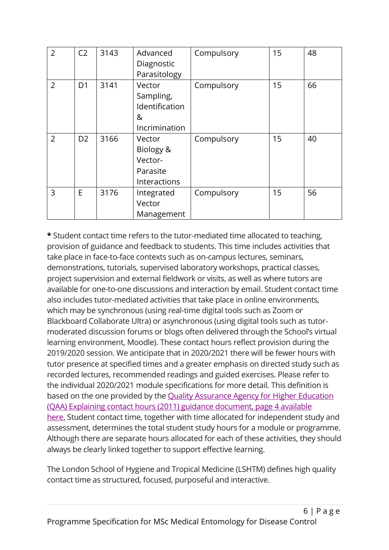| $\overline{2}$ | C <sub>2</sub> | 3143 | Advanced<br>Diagnostic<br>Parasitology                      | Compulsory | 15 | 48 |
|----------------|----------------|------|-------------------------------------------------------------|------------|----|----|
| $\overline{2}$ | D <sub>1</sub> | 3141 | Vector<br>Sampling,<br>Identification<br>&<br>Incrimination | Compulsory | 15 | 66 |
| $\overline{2}$ | D <sub>2</sub> | 3166 | Vector<br>Biology &<br>Vector-<br>Parasite<br>Interactions  | Compulsory | 15 | 40 |
| 3              | E              | 3176 | Integrated<br>Vector<br>Management                          | Compulsory | 15 | 56 |

**\*** Student contact time refers to the tutor-mediated time allocated to teaching, provision of guidance and feedback to students. This time includes activities that take place in face-to-face contexts such as on-campus lectures, seminars, demonstrations, tutorials, supervised laboratory workshops, practical classes, project supervision and external fieldwork or visits, as well as where tutors are available for one-to-one discussions and interaction by email. Student contact time also includes tutor-mediated activities that take place in online environments, which may be synchronous (using real-time digital tools such as Zoom or Blackboard Collaborate Ultra) or asynchronous (using digital tools such as tutormoderated discussion forums or blogs often delivered through the School's virtual learning environment, Moodle). These contact hours reflect provision during the 2019/2020 session. We anticipate that in 2020/2021 there will be fewer hours with tutor presence at specified times and a greater emphasis on directed study such as recorded lectures, recommended readings and guided exercises. Please refer to the individual 2020/2021 module specifications for more detail. This definition is based on the one provided by the Quality [Assurance](https://www.qaa.ac.uk/docs/qaa/quality-code/contact-hours-guidance.pdf) Agency for Higher Education (QAA) Explaining contact hours (2011) guidance [document,](https://www.qaa.ac.uk/docs/qaa/quality-code/contact-hours-guidance.pdf) page 4 available [here.](https://www.qaa.ac.uk/docs/qaa/quality-code/contact-hours-guidance.pdf) Student contact time, together with time allocated for independent study and assessment, determines the total student study hours for a module or programme. Although there are separate hours allocated for each of these activities, they should always be clearly linked together to support effective learning.

The London School of Hygiene and Tropical Medicine (LSHTM) defines high quality contact time as structured, focused, purposeful and interactive.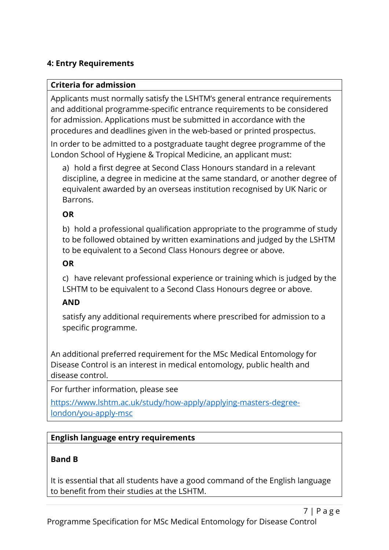# **4: Entry Requirements**

#### **Criteria for admission**

Applicants must normally satisfy the LSHTM's general entrance requirements and additional programme-specific entrance requirements to be considered for admission. Applications must be submitted in accordance with the procedures and deadlines given in the web-based or printed prospectus.

In order to be admitted to a postgraduate taught degree programme of the London School of Hygiene & Tropical Medicine, an applicant must:

a) hold a first degree at Second Class Honours standard in a relevant discipline, a degree in medicine at the same standard, or another degree of equivalent awarded by an overseas institution recognised by UK Naric or Barrons.

#### **OR**

b) hold a professional qualification appropriate to the programme of study to be followed obtained by written examinations and judged by the LSHTM to be equivalent to a Second Class Honours degree or above.

## **OR**

c) have relevant professional experience or training which is judged by the LSHTM to be equivalent to a Second Class Honours degree or above.

#### **AND**

satisfy any additional requirements where prescribed for admission to a specific programme.

An additional preferred requirement for the MSc Medical Entomology for Disease Control is an interest in medical entomology, public health and disease control.

For further information, please see

[https://www.lshtm.ac.uk/study/how-apply/applying-masters-degree](https://www.lshtm.ac.uk/study/how-apply/applying-masters-degree-london/you-apply-msc)[london/you-apply-msc](https://www.lshtm.ac.uk/study/how-apply/applying-masters-degree-london/you-apply-msc)

#### **English language entry requirements**

#### **Band B**

It is essential that all students have a good command of the English language to benefit from their studies at the LSHTM.